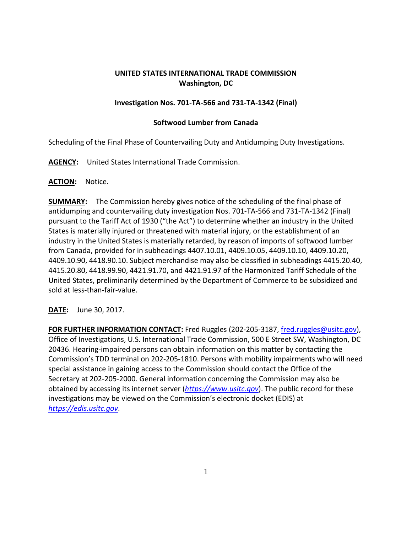# **UNITED STATES INTERNATIONAL TRADE COMMISSION Washington, DC**

## **Investigation Nos. 701-TA-566 and 731-TA-1342 (Final)**

### **Softwood Lumber from Canada**

Scheduling of the Final Phase of Countervailing Duty and Antidumping Duty Investigations.

**AGENCY:** United States International Trade Commission.

### **ACTION:** Notice.

**SUMMARY:** The Commission hereby gives notice of the scheduling of the final phase of antidumping and countervailing duty investigation Nos. 701-TA-566 and 731-TA-1342 (Final) pursuant to the Tariff Act of 1930 ("the Act") to determine whether an industry in the United States is materially injured or threatened with material injury, or the establishment of an industry in the United States is materially retarded, by reason of imports of softwood lumber from Canada, provided for in subheadings 4407.10.01, 4409.10.05, 4409.10.10, 4409.10.20, 4409.10.90, 4418.90.10. Subject merchandise may also be classified in subheadings 4415.20.40, 4415.20.80, 4418.99.90, 4421.91.70, and 4421.91.97 of the Harmonized Tariff Schedule of the United States, preliminarily determined by the Department of Commerce to be subsidized and sold at less-than-fair-value.

**DATE:** June 30, 2017.

**FOR FURTHER INFORMATION CONTACT:** Fred Ruggles (202-205-3187, [fred.ruggles@usitc.gov\)](mailto:fred.ruggles@usitc.gov), Office of Investigations, U.S. International Trade Commission, 500 E Street SW, Washington, DC 20436. Hearing-impaired persons can obtain information on this matter by contacting the Commission's TDD terminal on 202-205-1810. Persons with mobility impairments who will need special assistance in gaining access to the Commission should contact the Office of the Secretary at 202-205-2000. General information concerning the Commission may also be obtained by accessing its internet server (*[https://www.usitc.gov](https://www.usitc.gov/)*). The public record for these investigations may be viewed on the Commission's electronic docket (EDIS) at *[https://edis.usitc.gov](https://edis.usitc.gov/)*.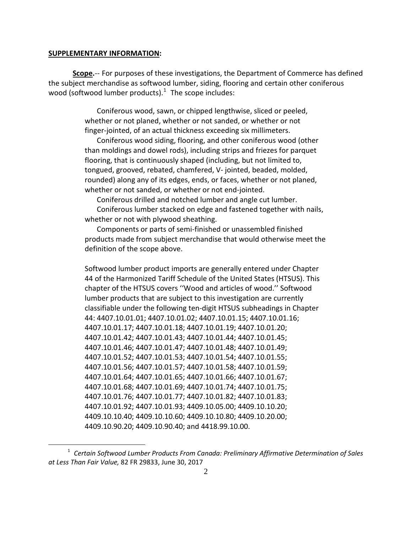#### **SUPPLEMENTARY INFORMATION:**

 $\overline{a}$ 

**Scope.**-- For purposes of these investigations, the Department of Commerce has defined the subject merchandise as softwood lumber, siding, flooring and certain other coniferous wood (softwood lumber products). $1$  The scope includes:

> Coniferous wood, sawn, or chipped lengthwise, sliced or peeled, whether or not planed, whether or not sanded, or whether or not finger-jointed, of an actual thickness exceeding six millimeters.

Coniferous wood siding, flooring, and other coniferous wood (other than moldings and dowel rods), including strips and friezes for parquet flooring, that is continuously shaped (including, but not limited to, tongued, grooved, rebated, chamfered, V- jointed, beaded, molded, rounded) along any of its edges, ends, or faces, whether or not planed, whether or not sanded, or whether or not end-jointed.

Coniferous drilled and notched lumber and angle cut lumber.

Coniferous lumber stacked on edge and fastened together with nails, whether or not with plywood sheathing.

Components or parts of semi-finished or unassembled finished products made from subject merchandise that would otherwise meet the definition of the scope above.

Softwood lumber product imports are generally entered under Chapter 44 of the Harmonized Tariff Schedule of the United States (HTSUS). This chapter of the HTSUS covers ''Wood and articles of wood.'' Softwood lumber products that are subject to this investigation are currently classifiable under the following ten-digit HTSUS subheadings in Chapter 44: 4407.10.01.01; 4407.10.01.02; 4407.10.01.15; 4407.10.01.16; 4407.10.01.17; 4407.10.01.18; 4407.10.01.19; 4407.10.01.20; 4407.10.01.42; 4407.10.01.43; 4407.10.01.44; 4407.10.01.45; 4407.10.01.46; 4407.10.01.47; 4407.10.01.48; 4407.10.01.49; 4407.10.01.52; 4407.10.01.53; 4407.10.01.54; 4407.10.01.55; 4407.10.01.56; 4407.10.01.57; 4407.10.01.58; 4407.10.01.59; 4407.10.01.64; 4407.10.01.65; 4407.10.01.66; 4407.10.01.67; 4407.10.01.68; 4407.10.01.69; 4407.10.01.74; 4407.10.01.75; 4407.10.01.76; 4407.10.01.77; 4407.10.01.82; 4407.10.01.83; 4407.10.01.92; 4407.10.01.93; 4409.10.05.00; 4409.10.10.20; 4409.10.10.40; 4409.10.10.60; 4409.10.10.80; 4409.10.20.00; 4409.10.90.20; 4409.10.90.40; and 4418.99.10.00.

<span id="page-1-0"></span><sup>1</sup> *Certain Softwood Lumber Products From Canada: Preliminary Affirmative Determination of Sales at Less Than Fair Value,* 82 FR 29833, June 30, 2017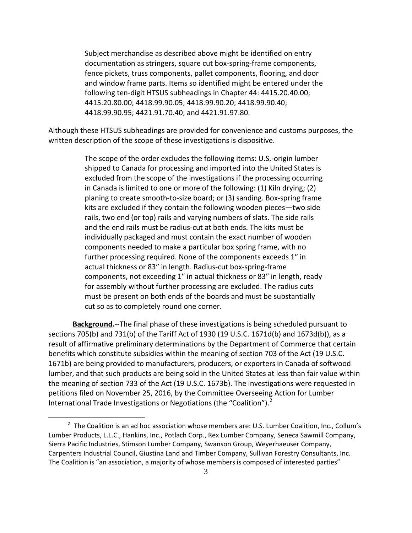Subject merchandise as described above might be identified on entry documentation as stringers, square cut box-spring-frame components, fence pickets, truss components, pallet components, flooring, and door and window frame parts. Items so identified might be entered under the following ten-digit HTSUS subheadings in Chapter 44: 4415.20.40.00; 4415.20.80.00; 4418.99.90.05; 4418.99.90.20; 4418.99.90.40; 4418.99.90.95; 4421.91.70.40; and 4421.91.97.80.

Although these HTSUS subheadings are provided for convenience and customs purposes, the written description of the scope of these investigations is dispositive.

> The scope of the order excludes the following items: U.S.-origin lumber shipped to Canada for processing and imported into the United States is excluded from the scope of the investigations if the processing occurring in Canada is limited to one or more of the following: (1) Kiln drying; (2) planing to create smooth-to-size board; or (3) sanding. Box-spring frame kits are excluded if they contain the following wooden pieces—two side rails, two end (or top) rails and varying numbers of slats. The side rails and the end rails must be radius-cut at both ends. The kits must be individually packaged and must contain the exact number of wooden components needed to make a particular box spring frame, with no further processing required. None of the components exceeds 1″ in actual thickness or 83″ in length. Radius-cut box-spring-frame components, not exceeding 1″ in actual thickness or 83″ in length, ready for assembly without further processing are excluded. The radius cuts must be present on both ends of the boards and must be substantially cut so as to completely round one corner.

**Background.**--The final phase of these investigations is being scheduled pursuant to sections 705(b) and 731(b) of the Tariff Act of 1930 (19 U.S.C. 1671d(b) and 1673d(b)), as a result of affirmative preliminary determinations by the Department of Commerce that certain benefits which constitute subsidies within the meaning of section 703 of the Act (19 U.S.C. 1671b) are being provided to manufacturers, producers, or exporters in Canada of softwood lumber, and that such products are being sold in the United States at less than fair value within the meaning of section 733 of the Act (19 U.S.C. 1673b). The investigations were requested in petitions filed on November 25, 2016, by the Committee Overseeing Action for Lumber International Trade Investigations or Negotiations (the "Coalition").<sup>[2](#page-2-0)</sup>

 $\overline{a}$ 

<span id="page-2-0"></span> $2$  The Coalition is an ad hoc association whose members are: U.S. Lumber Coalition, Inc., Collum's Lumber Products, L.L.C., Hankins, Inc., Potlach Corp., Rex Lumber Company, Seneca Sawmill Company, Sierra Pacific Industries, Stimson Lumber Company, Swanson Group, Weyerhaeuser Company, Carpenters Industrial Council, Giustina Land and Timber Company, Sullivan Forestry Consultants, Inc. The Coalition is "an association, a majority of whose members is composed of interested parties"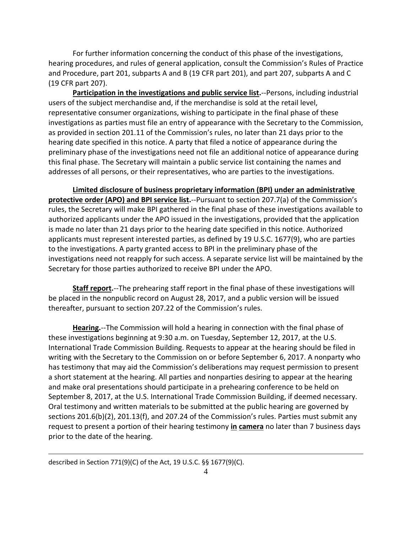For further information concerning the conduct of this phase of the investigations, hearing procedures, and rules of general application, consult the Commission's Rules of Practice and Procedure, part 201, subparts A and B (19 CFR part 201), and part 207, subparts A and C (19 CFR part 207).

**Participation in the investigations and public service list.**--Persons, including industrial users of the subject merchandise and, if the merchandise is sold at the retail level, representative consumer organizations, wishing to participate in the final phase of these investigations as parties must file an entry of appearance with the Secretary to the Commission, as provided in section 201.11 of the Commission's rules, no later than 21 days prior to the hearing date specified in this notice. A party that filed a notice of appearance during the preliminary phase of the investigations need not file an additional notice of appearance during this final phase. The Secretary will maintain a public service list containing the names and addresses of all persons, or their representatives, who are parties to the investigations.

**Limited disclosure of business proprietary information (BPI) under an administrative protective order (APO) and BPI service list.**--Pursuant to section 207.7(a) of the Commission's rules, the Secretary will make BPI gathered in the final phase of these investigations available to authorized applicants under the APO issued in the investigations, provided that the application is made no later than 21 days prior to the hearing date specified in this notice. Authorized applicants must represent interested parties, as defined by 19 U.S.C. 1677(9), who are parties to the investigations. A party granted access to BPI in the preliminary phase of the investigations need not reapply for such access. A separate service list will be maintained by the Secretary for those parties authorized to receive BPI under the APO.

**Staff report.**--The prehearing staff report in the final phase of these investigations will be placed in the nonpublic record on August 28, 2017, and a public version will be issued thereafter, pursuant to section 207.22 of the Commission's rules.

**Hearing.**--The Commission will hold a hearing in connection with the final phase of these investigations beginning at 9:30 a.m. on Tuesday, September 12, 2017, at the U.S. International Trade Commission Building. Requests to appear at the hearing should be filed in writing with the Secretary to the Commission on or before September 6, 2017. A nonparty who has testimony that may aid the Commission's deliberations may request permission to present a short statement at the hearing. All parties and nonparties desiring to appear at the hearing and make oral presentations should participate in a prehearing conference to be held on September 8, 2017, at the U.S. International Trade Commission Building, if deemed necessary. Oral testimony and written materials to be submitted at the public hearing are governed by sections 201.6(b)(2), 201.13(f), and 207.24 of the Commission's rules. Parties must submit any request to present a portion of their hearing testimony **in camera** no later than 7 business days prior to the date of the hearing.

described in Section 771(9)(C) of the Act, 19 U.S.C. §§ 1677(9)(C).

 $\overline{a}$